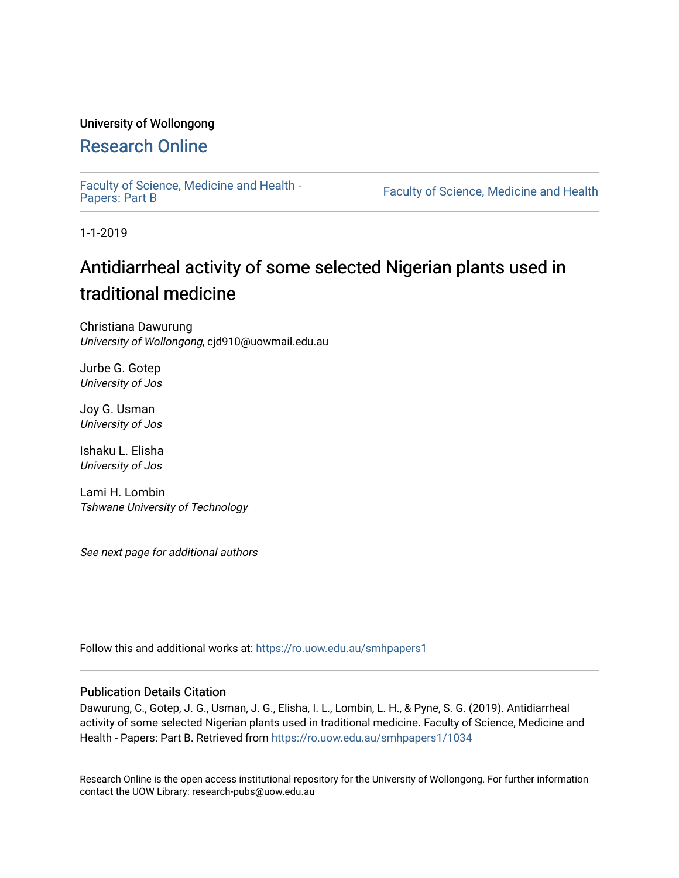# University of Wollongong

# [Research Online](https://ro.uow.edu.au/)

[Faculty of Science, Medicine and Health -](https://ro.uow.edu.au/smhpapers1) Papers: Part B

Faculty of Science, Medicine and Health

1-1-2019

# Antidiarrheal activity of some selected Nigerian plants used in traditional medicine

Christiana Dawurung University of Wollongong, cjd910@uowmail.edu.au

Jurbe G. Gotep University of Jos

Joy G. Usman University of Jos

Ishaku L. Elisha University of Jos

Lami H. Lombin Tshwane University of Technology

See next page for additional authors

Follow this and additional works at: [https://ro.uow.edu.au/smhpapers1](https://ro.uow.edu.au/smhpapers1?utm_source=ro.uow.edu.au%2Fsmhpapers1%2F1034&utm_medium=PDF&utm_campaign=PDFCoverPages)

## Publication Details Citation

Dawurung, C., Gotep, J. G., Usman, J. G., Elisha, I. L., Lombin, L. H., & Pyne, S. G. (2019). Antidiarrheal activity of some selected Nigerian plants used in traditional medicine. Faculty of Science, Medicine and Health - Papers: Part B. Retrieved from [https://ro.uow.edu.au/smhpapers1/1034](https://ro.uow.edu.au/smhpapers1/1034?utm_source=ro.uow.edu.au%2Fsmhpapers1%2F1034&utm_medium=PDF&utm_campaign=PDFCoverPages) 

Research Online is the open access institutional repository for the University of Wollongong. For further information contact the UOW Library: research-pubs@uow.edu.au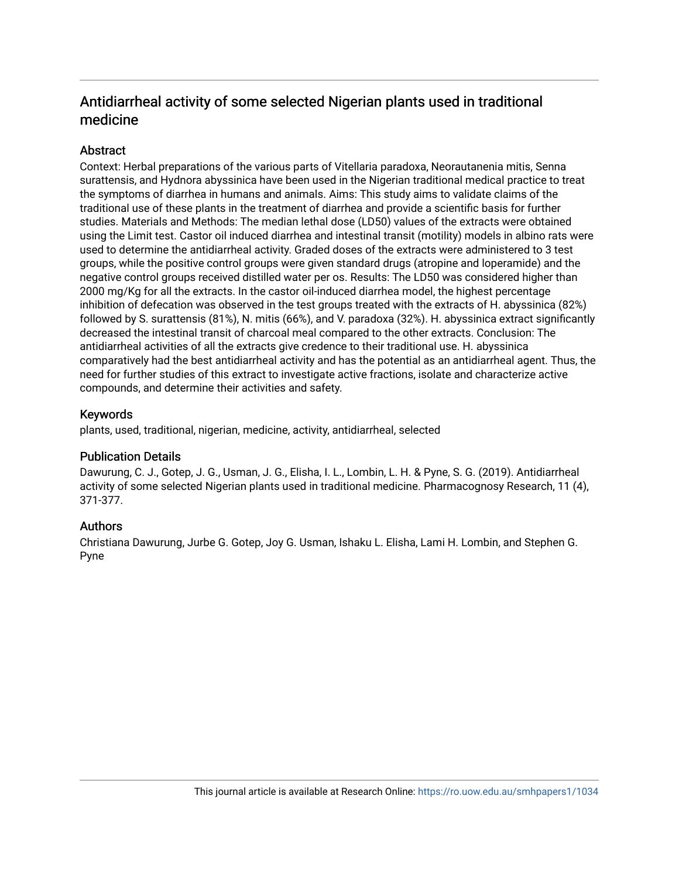# Antidiarrheal activity of some selected Nigerian plants used in traditional medicine

# **Abstract**

Context: Herbal preparations of the various parts of Vitellaria paradoxa, Neorautanenia mitis, Senna surattensis, and Hydnora abyssinica have been used in the Nigerian traditional medical practice to treat the symptoms of diarrhea in humans and animals. Aims: This study aims to validate claims of the traditional use of these plants in the treatment of diarrhea and provide a scientific basis for further studies. Materials and Methods: The median lethal dose (LD50) values of the extracts were obtained using the Limit test. Castor oil induced diarrhea and intestinal transit (motility) models in albino rats were used to determine the antidiarrheal activity. Graded doses of the extracts were administered to 3 test groups, while the positive control groups were given standard drugs (atropine and loperamide) and the negative control groups received distilled water per os. Results: The LD50 was considered higher than 2000 mg/Kg for all the extracts. In the castor oil-induced diarrhea model, the highest percentage inhibition of defecation was observed in the test groups treated with the extracts of H. abyssinica (82%) followed by S. surattensis (81%), N. mitis (66%), and V. paradoxa (32%). H. abyssinica extract significantly decreased the intestinal transit of charcoal meal compared to the other extracts. Conclusion: The antidiarrheal activities of all the extracts give credence to their traditional use. H. abyssinica comparatively had the best antidiarrheal activity and has the potential as an antidiarrheal agent. Thus, the need for further studies of this extract to investigate active fractions, isolate and characterize active compounds, and determine their activities and safety.

# Keywords

plants, used, traditional, nigerian, medicine, activity, antidiarrheal, selected

# Publication Details

Dawurung, C. J., Gotep, J. G., Usman, J. G., Elisha, I. L., Lombin, L. H. & Pyne, S. G. (2019). Antidiarrheal activity of some selected Nigerian plants used in traditional medicine. Pharmacognosy Research, 11 (4), 371-377.

# Authors

Christiana Dawurung, Jurbe G. Gotep, Joy G. Usman, Ishaku L. Elisha, Lami H. Lombin, and Stephen G. Pyne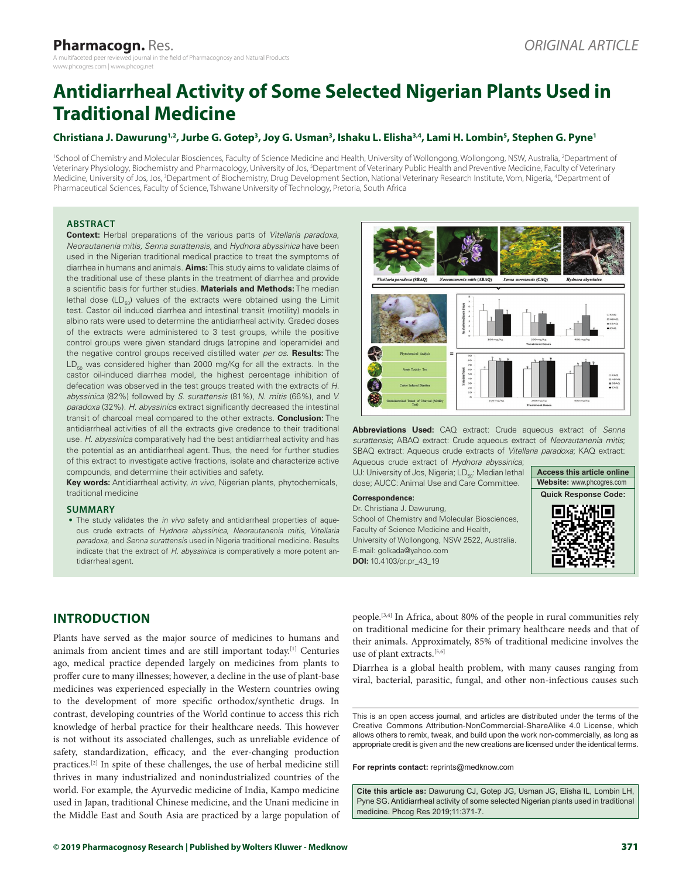# **Antidiarrheal Activity of Some Selected Nigerian Plants Used in Traditional Medicine**

#### **Christiana J. Dawurung1,2, Jurbe G. Gotep3 , Joy G. Usman3 , Ishaku L. Elisha3,4, Lami H. Lombin5 , Stephen G. Pyne1**

<sup>1</sup>School of Chemistry and Molecular Biosciences, Faculty of Science Medicine and Health, University of Wollongong, Wollongong, NSW, Australia, <sup>2</sup>Department of Veterinary Physiology, Biochemistry and Pharmacology, University of Jos, <sup>5</sup>Department of Veterinary Public Health and Preventive Medicine, Faculty of Veterinary Medicine, University of Jos, Jos, <sup>3</sup>Department of Biochemistry, Drug Development Section, National Veterinary Research Institute, Vom, Nigeria, <sup>4</sup>Department of Pharmaceutical Sciences, Faculty of Science, Tshwane University of Technology, Pretoria, South Africa

#### **ABSTRACT**

**Context:** Herbal preparations of the various parts of *Vitellaria paradoxa*, *Neorautanenia mitis, Senna surattensis,* and *Hydnora abyssinica* have been used in the Nigerian traditional medical practice to treat the symptoms of diarrhea in humans and animals. **Aims:** This study aims to validate claims of the traditional use of these plants in the treatment of diarrhea and provide a scientific basis for further studies. **Materials and Methods:** The median lethal dose  $(LD_{50})$  values of the extracts were obtained using the Limit test. Castor oil induced diarrhea and intestinal transit (motility) models in albino rats were used to determine the antidiarrheal activity. Graded doses of the extracts were administered to 3 test groups, while the positive control groups were given standard drugs (atropine and loperamide) and the negative control groups received distilled water *per os*. **Results:** The  $LD_{50}$  was considered higher than 2000 mg/Kg for all the extracts. In the castor oil-induced diarrhea model, the highest percentage inhibition of defecation was observed in the test groups treated with the extracts of *H. abyssinica* (82%) followed by *S. surattensis* (81%), *N. mitis* (66%), and *V. paradoxa* (32%). *H. abyssinica* extract significantly decreased the intestinal transit of charcoal meal compared to the other extracts. **Conclusion:** The antidiarrheal activities of all the extracts give credence to their traditional use. *H. abyssinica* comparatively had the best antidiarrheal activity and has the potential as an antidiarrheal agent. Thus, the need for further studies of this extract to investigate active fractions, isolate and characterize active compounds, and determine their activities and safety.

**Key words:** Antidiarrheal activity, *in vivo*, Nigerian plants, phytochemicals, traditional medicine

#### **SUMMARY**

• The study validates the *in vivo* safety and antidiarrheal properties of aqueous crude extracts of *Hydnora abyssinica*, *Neorautanenia mitis*, *Vitellaria paradoxa,* and *Senna surattensis* used in Nigeria traditional medicine. Results indicate that the extract of *H. abyssinica* is comparatively a more potent antidiarrheal agent.



**Abbreviations Used:** CAQ extract: Crude aqueous extract of *Senna surattensis*; ABAQ extract: Crude aqueous extract of *Neorautanenia mitis*; SBAQ extract: Aqueous crude extracts of *Vitellaria paradoxa*; KAQ extract:

Aqueous crude extract of *Hydnora abyssinica*; UJ: University of Jos, Nigeria; LD<sub>50</sub>: Median lethal dose; AUCC: Animal Use and Care Committee.

#### **Correspondence:**

Dr. Christiana J. Dawurung, School of Chemistry and Molecular Biosciences, Faculty of Science Medicine and Health, University of Wollongong, NSW 2522, Australia. E‑mail: golkada@yahoo.com **DOI:** 10.4103/pr.pr\_43\_19



# **INTRODUCTION**

Plants have served as the major source of medicines to humans and animals from ancient times and are still important today.[1] Centuries ago, medical practice depended largely on medicines from plants to proffer cure to many illnesses; however, a decline in the use of plant-base medicines was experienced especially in the Western countries owing to the development of more specific orthodox/synthetic drugs. In contrast, developing countries of the World continue to access this rich knowledge of herbal practice for their healthcare needs. This however is not without its associated challenges, such as unreliable evidence of safety, standardization, efficacy, and the ever-changing production practices.[2] In spite of these challenges, the use of herbal medicine still thrives in many industrialized and nonindustrialized countries of the world. For example, the Ayurvedic medicine of India, Kampo medicine used in Japan, traditional Chinese medicine, and the Unani medicine in the Middle East and South Asia are practiced by a large population of people.[3,4] In Africa, about 80% of the people in rural communities rely on traditional medicine for their primary healthcare needs and that of their animals. Approximately, 85% of traditional medicine involves the use of plant extracts.<sup>[5,6]</sup>

Diarrhea is a global health problem, with many causes ranging from viral, bacterial, parasitic, fungal, and other non-infectious causes such

This is an open access journal, and articles are distributed under the terms of the Creative Commons Attribution-NonCommercial-ShareAlike 4.0 License, which allows others to remix, tweak, and build upon the work non-commercially, as long as appropriate credit is given and the new creations are licensed under the identical terms.

**For reprints contact:** reprints@medknow.com

**Cite this article as:** Dawurung CJ, Gotep JG, Usman JG, Elisha IL, Lombin LH, Pyne SG. Antidiarrheal activity of some selected Nigerian plants used in traditional medicine. Phcog Res 2019;11:371-7.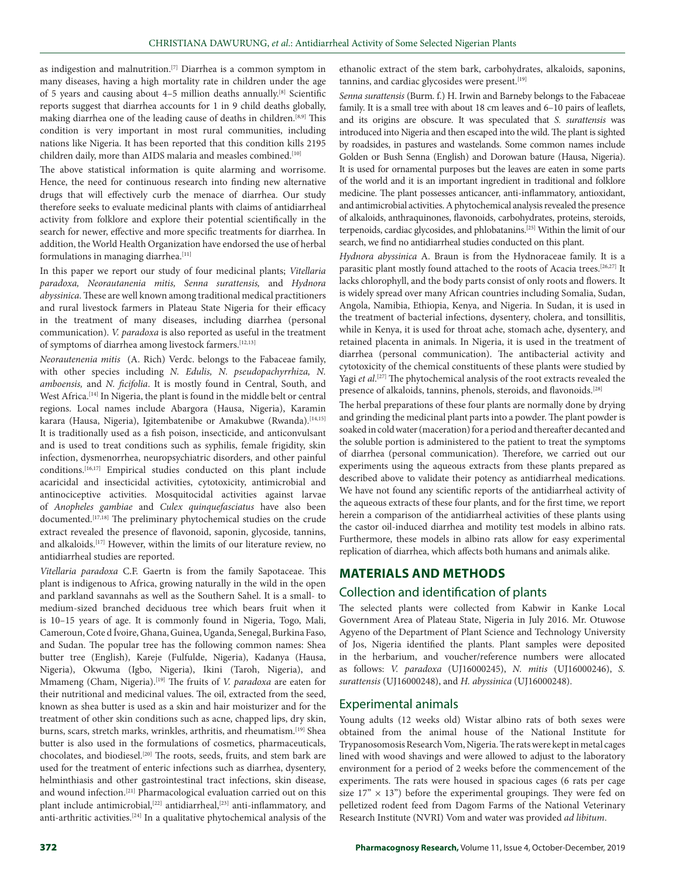as indigestion and malnutrition.[7] Diarrhea is a common symptom in many diseases, having a high mortality rate in children under the age of 5 years and causing about 4–5 million deaths annually.[8] Scientific reports suggest that diarrhea accounts for 1 in 9 child deaths globally, making diarrhea one of the leading cause of deaths in children.[8,9] This condition is very important in most rural communities, including nations like Nigeria. It has been reported that this condition kills 2195 children daily, more than AIDS malaria and measles combined.<sup>[10]</sup>

The above statistical information is quite alarming and worrisome. Hence, the need for continuous research into finding new alternative drugs that will effectively curb the menace of diarrhea. Our study therefore seeks to evaluate medicinal plants with claims of antidiarrheal activity from folklore and explore their potential scientifically in the search for newer, effective and more specific treatments for diarrhea. In addition, the World Health Organization have endorsed the use of herbal formulations in managing diarrhea.<sup>[11]</sup>

In this paper we report our study of four medicinal plants; *Vitellaria paradoxa, Neorautanenia mitis, Senna surattensis,* and *Hydnora abyssinica*. These are well known among traditional medical practitioners and rural livestock farmers in Plateau State Nigeria for their efficacy in the treatment of many diseases, including diarrhea (personal communication). *V. paradoxa* is also reported as useful in the treatment of symptoms of diarrhea among livestock farmers.[12,13]

*Neorautenenia mitis*  (A. Rich) Verdc. belongs to the Fabaceae family, with other species including *N. Edulis, N. pseudopachyrrhiza, N. amboensis,* and *N. ficifolia*. It is mostly found in Central, South, and West Africa.<sup>[14]</sup> In Nigeria, the plant is found in the middle belt or central regions. Local names include Abargora (Hausa, Nigeria), Karamin karara (Hausa, Nigeria), Igitembatenibe or Amakubwe (Rwanda).<sup>[14,15]</sup> It is traditionally used as a fish poison, insecticide, and anticonvulsant and is used to treat conditions such as syphilis, female frigidity, skin infection, dysmenorrhea, neuropsychiatric disorders, and other painful conditions.<sup>[16,17]</sup> Empirical studies conducted on this plant include acaricidal and insecticidal activities, cytotoxicity, antimicrobial and antinociceptive activities. Mosquitocidal activities against larvae of *Anopheles gambiae* and *Culex quinquefasciatus* have also been documented.<sup>[17,18]</sup> The preliminary phytochemical studies on the crude extract revealed the presence of flavonoid, saponin, glycoside, tannins, and alkaloids.[17] However, within the limits of our literature review, no antidiarrheal studies are reported.

*Vitellaria paradoxa* C.F. Gaertn is from the family Sapotaceae. This plant is indigenous to Africa, growing naturally in the wild in the open and parkland savannahs as well as the Southern Sahel. It is a small‑ to medium‑sized branched deciduous tree which bears fruit when it is 10–15 years of age. It is commonly found in Nigeria, Togo, Mali, Cameroun, Cote d Ívoire, Ghana, Guinea, Uganda, Senegal, Burkina Faso, and Sudan. The popular tree has the following common names: Shea butter tree (English), Kareje (Fulfulde, Nigeria), Kadanya (Hausa, Nigeria), Okwuma (Igbo, Nigeria), Ikini (Taroh, Nigeria), and Mmameng (Cham, Nigeria).[19] The fruits of *V. paradoxa* are eaten for their nutritional and medicinal values. The oil, extracted from the seed, known as shea butter is used as a skin and hair moisturizer and for the treatment of other skin conditions such as acne, chapped lips, dry skin, burns, scars, stretch marks, wrinkles, arthritis, and rheumatism.<sup>[19]</sup> Shea butter is also used in the formulations of cosmetics, pharmaceuticals, chocolates, and biodiesel.[20] The roots, seeds, fruits, and stem bark are used for the treatment of enteric infections such as diarrhea, dysentery, helminthiasis and other gastrointestinal tract infections, skin disease, and wound infection.<sup>[21]</sup> Pharmacological evaluation carried out on this plant include antimicrobial,<sup>[22]</sup> antidiarrheal,<sup>[23]</sup> anti-inflammatory, and anti‑arthritic activities.[24] In a qualitative phytochemical analysis of the

ethanolic extract of the stem bark, carbohydrates, alkaloids, saponins, tannins, and cardiac glycosides were present.<sup>[19]</sup>

*Senna surattensis* (Burm. f.) H. Irwin and Barneby belongs to the Fabaceae family. It is a small tree with about 18 cm leaves and 6–10 pairs of leaflets, and its origins are obscure. It was speculated that *S. surattensis* was introduced into Nigeria and then escaped into the wild. The plant is sighted by roadsides, in pastures and wastelands. Some common names include Golden or Bush Senna (English) and Dorowan bature (Hausa, Nigeria). It is used for ornamental purposes but the leaves are eaten in some parts of the world and it is an important ingredient in traditional and folklore medicine. The plant possesses anticancer, anti-inflammatory, antioxidant, and antimicrobial activities. A phytochemical analysis revealed the presence of alkaloids, anthraquinones, flavonoids, carbohydrates, proteins, steroids, terpenoids, cardiac glycosides, and phlobatanins.[25] Within the limit of our search, we find no antidiarrheal studies conducted on this plant.

*Hydnora abyssinica* A. Braun is from the Hydnoraceae family. It is a parasitic plant mostly found attached to the roots of Acacia trees.<sup>[26,27]</sup> It lacks chlorophyll, and the body parts consist of only roots and flowers. It is widely spread over many African countries including Somalia, Sudan, Angola, Namibia, Ethiopia, Kenya, and Nigeria. In Sudan, it is used in the treatment of bacterial infections, dysentery, cholera, and tonsillitis, while in Kenya, it is used for throat ache, stomach ache, dysentery, and retained placenta in animals. In Nigeria, it is used in the treatment of diarrhea (personal communication). The antibacterial activity and cytotoxicity of the chemical constituents of these plants were studied by Yagi *et al*. [27] The phytochemical analysis of the root extracts revealed the presence of alkaloids, tannins, phenols, steroids, and flavonoids.<sup>[28]</sup>

The herbal preparations of these four plants are normally done by drying and grinding the medicinal plant parts into a powder. The plant powder is soaked in cold water (maceration) for a period and thereafter decanted and the soluble portion is administered to the patient to treat the symptoms of diarrhea (personal communication). Therefore, we carried out our experiments using the aqueous extracts from these plants prepared as described above to validate their potency as antidiarrheal medications. We have not found any scientific reports of the antidiarrheal activity of the aqueous extracts of these four plants, and for the first time, we report herein a comparison of the antidiarrheal activities of these plants using the castor oil‑induced diarrhea and motility test models in albino rats. Furthermore, these models in albino rats allow for easy experimental replication of diarrhea, which affects both humans and animals alike.

## **MATERIALS AND METHODS**

## Collection and identification of plants

The selected plants were collected from Kabwir in Kanke Local Government Area of Plateau State, Nigeria in July 2016. Mr. Otuwose Agyeno of the Department of Plant Science and Technology University of Jos, Nigeria identified the plants. Plant samples were deposited in the herbarium, and voucher/reference numbers were allocated as follows: *V. paradoxa* (UJ16000245), *N. mitis* (UJ16000246), *S. surattensis* (UJ16000248), and *H. abyssinica* (UJ16000248).

#### Experimental animals

Young adults (12 weeks old) Wistar albino rats of both sexes were obtained from the animal house of the National Institute for Trypanosomosis Research Vom, Nigeria. The rats were kept in metal cages lined with wood shavings and were allowed to adjust to the laboratory environment for a period of 2 weeks before the commencement of the experiments. The rats were housed in spacious cages (6 rats per cage size  $17'' \times 13''$ ) before the experimental groupings. They were fed on pelletized rodent feed from Dagom Farms of the National Veterinary Research Institute (NVRI) Vom and water was provided *ad libitum*.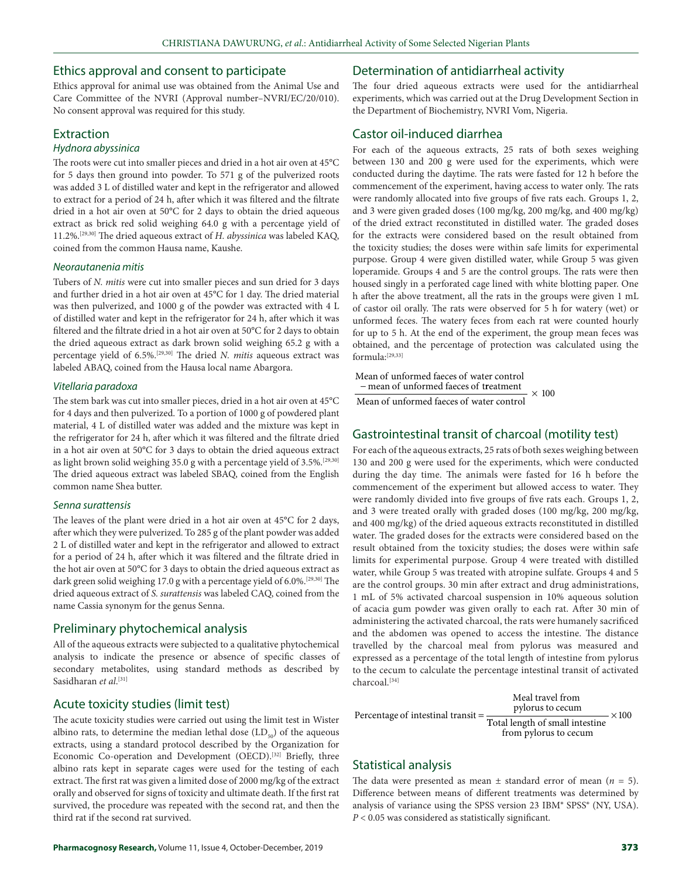#### Ethics approval and consent to participate

Ethics approval for animal use was obtained from the Animal Use and Care Committee of the NVRI (Approval number–NVRI/EC/20/010). No consent approval was required for this study.

#### Extraction

#### *Hydnora abyssinica*

The roots were cut into smaller pieces and dried in a hot air oven at 45°C for 5 days then ground into powder. To 571 g of the pulverized roots was added 3 L of distilled water and kept in the refrigerator and allowed to extract for a period of 24 h, after which it was filtered and the filtrate dried in a hot air oven at 50°C for 2 days to obtain the dried aqueous extract as brick red solid weighing 64.0 g with a percentage yield of 11.2%.[29,30] The dried aqueous extract of *H. abyssinica* was labeled KAQ, coined from the common Hausa name, Kaushe.

#### *Neorautanenia mitis*

Tubers of *N. mitis* were cut into smaller pieces and sun dried for 3 days and further dried in a hot air oven at 45°C for 1 day. The dried material was then pulverized, and 1000 g of the powder was extracted with 4 L of distilled water and kept in the refrigerator for 24 h, after which it was filtered and the filtrate dried in a hot air oven at 50°C for 2 days to obtain the dried aqueous extract as dark brown solid weighing 65.2 g with a percentage yield of 6.5%.[29,30] The dried *N. mitis* aqueous extract was labeled ABAQ, coined from the Hausa local name Abargora.

#### *Vitellaria paradoxa*

The stem bark was cut into smaller pieces, dried in a hot air oven at 45°C for 4 days and then pulverized. To a portion of 1000 g of powdered plant material, 4 L of distilled water was added and the mixture was kept in the refrigerator for 24 h, after which it was filtered and the filtrate dried in a hot air oven at 50°C for 3 days to obtain the dried aqueous extract as light brown solid weighing 35.0 g with a percentage yield of 3.5%.<sup>[29,30]</sup> The dried aqueous extract was labeled SBAQ, coined from the English common name Shea butter.

#### *Senna surattensis*

The leaves of the plant were dried in a hot air oven at 45°C for 2 days, after which they were pulverized. To 285 g of the plant powder was added 2 L of distilled water and kept in the refrigerator and allowed to extract for a period of 24 h, after which it was filtered and the filtrate dried in the hot air oven at 50°C for 3 days to obtain the dried aqueous extract as dark green solid weighing 17.0 g with a percentage yield of 6.0%.<sup>[29,30]</sup> The dried aqueous extract of *S. surattensis* was labeled CAQ, coined from the name Cassia synonym for the genus Senna.

#### Preliminary phytochemical analysis

All of the aqueous extracts were subjected to a qualitative phytochemical analysis to indicate the presence or absence of specific classes of secondary metabolites, using standard methods as described by Sasidharan *et al*. [31]

#### Acute toxicity studies (limit test)

The acute toxicity studies were carried out using the limit test in Wister albino rats, to determine the median lethal dose  $(LD_{50})$  of the aqueous extracts, using a standard protocol described by the Organization for Economic Co-operation and Development (OECD).<sup>[32]</sup> Briefly, three albino rats kept in separate cages were used for the testing of each extract. The first rat was given a limited dose of 2000 mg/kg of the extract orally and observed for signs of toxicity and ultimate death. If the first rat survived, the procedure was repeated with the second rat, and then the third rat if the second rat survived.

#### Determination of antidiarrheal activity

The four dried aqueous extracts were used for the antidiarrheal experiments, which was carried out at the Drug Development Section in the Department of Biochemistry, NVRI Vom, Nigeria.

# Castor oil-induced diarrhea

For each of the aqueous extracts, 25 rats of both sexes weighing between 130 and 200 g were used for the experiments, which were conducted during the daytime. The rats were fasted for 12 h before the commencement of the experiment, having access to water only. The rats were randomly allocated into five groups of five rats each. Groups 1, 2, and 3 were given graded doses (100 mg/kg, 200 mg/kg, and 400 mg/kg) of the dried extract reconstituted in distilled water. The graded doses for the extracts were considered based on the result obtained from the toxicity studies; the doses were within safe limits for experimental purpose. Group 4 were given distilled water, while Group 5 was given loperamide. Groups 4 and 5 are the control groups. The rats were then housed singly in a perforated cage lined with white blotting paper. One h after the above treatment, all the rats in the groups were given 1 mL of castor oil orally. The rats were observed for 5 h for watery (wet) or unformed feces. The watery feces from each rat were counted hourly for up to 5 h. At the end of the experiment, the group mean feces was obtained, and the percentage of protection was calculated using the formula:[29,33]

Mean of unformed faeces of water control − mean of unformed faeces of treatment  $\times$  100

Mean of unformed faeces of water control

#### Gastrointestinal transit of charcoal (motility test)

For each of the aqueous extracts, 25 rats of both sexes weighing between 130 and 200 g were used for the experiments, which were conducted during the day time. The animals were fasted for 16 h before the commencement of the experiment but allowed access to water. They were randomly divided into five groups of five rats each. Groups 1, 2, and 3 were treated orally with graded doses (100 mg/kg, 200 mg/kg, and 400 mg/kg) of the dried aqueous extracts reconstituted in distilled water. The graded doses for the extracts were considered based on the result obtained from the toxicity studies; the doses were within safe limits for experimental purpose. Group 4 were treated with distilled water, while Group 5 was treated with atropine sulfate. Groups 4 and 5 are the control groups. 30 min after extract and drug administrations, 1 mL of 5% activated charcoal suspension in 10% aqueous solution of acacia gum powder was given orally to each rat. After 30 min of administering the activated charcoal, the rats were humanely sacrificed and the abdomen was opened to access the intestine. The distance travelled by the charcoal meal from pylorus was measured and expressed as a percentage of the total length of intestine from pylorus to the cecum to calculate the percentage intestinal transit of activated charcoal.[34]

Percentage of intestinal transit Meal travel from<br>pylorus to cecum Total length of small intestine from pylorus to cecum  $\times$ 100

## Statistical analysis

The data were presented as mean  $\pm$  standard error of mean ( $n = 5$ ). Difference between means of different treatments was determined by analysis of variance using the SPSS version 23 IBM® SPSS® (NY, USA). *P* < 0.05 was considered as statistically significant.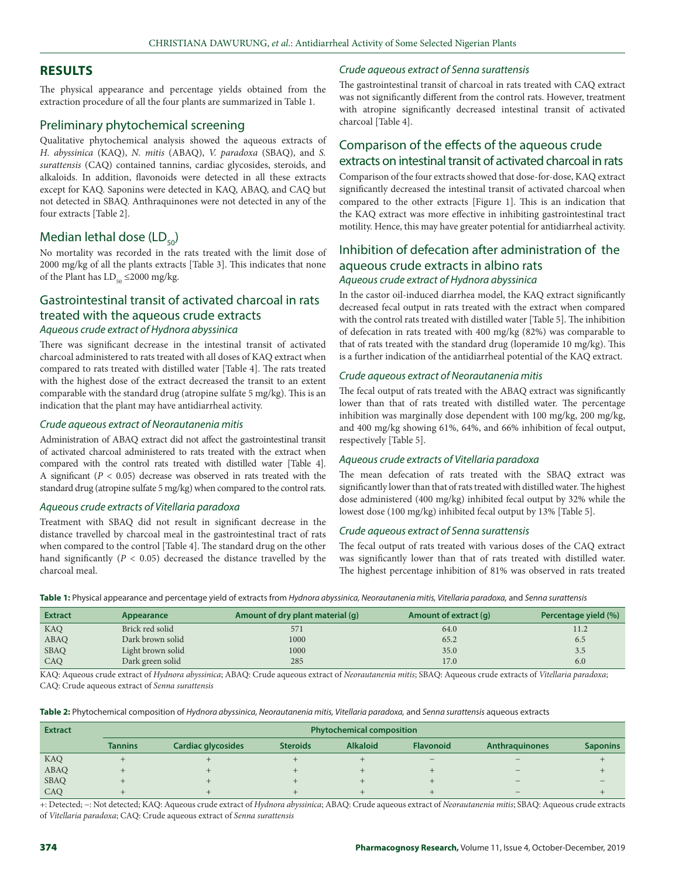#### **RESULTS**

The physical appearance and percentage yields obtained from the extraction procedure of all the four plants are summarized in Table 1.

#### Preliminary phytochemical screening

Qualitative phytochemical analysis showed the aqueous extracts of *H. abyssinica* (KAQ), *N. mitis* (ABAQ), *V. paradoxa* (SBAQ), and *S. surattensis* (CAQ) contained tannins, cardiac glycosides, steroids, and alkaloids. In addition, flavonoids were detected in all these extracts except for KAQ. Saponins were detected in KAQ, ABAQ, and CAQ but not detected in SBAQ. Anthraquinones were not detected in any of the four extracts [Table 2].

# Median lethal dose  $(LD_{50})$

No mortality was recorded in the rats treated with the limit dose of 2000 mg/kg of all the plants extracts [Table 3]. This indicates that none of the Plant has  $LD_{50} \le 2000$  mg/kg.

# Gastrointestinal transit of activated charcoal in rats treated with the aqueous crude extracts *Aqueous crude extract of Hydnora abyssinica*

There was significant decrease in the intestinal transit of activated charcoal administered to rats treated with all doses of KAQ extract when compared to rats treated with distilled water [Table 4]. The rats treated with the highest dose of the extract decreased the transit to an extent comparable with the standard drug (atropine sulfate 5 mg/kg). This is an indication that the plant may have antidiarrheal activity.

#### *Crude aqueous extract of Neorautanenia mitis*

Administration of ABAQ extract did not affect the gastrointestinal transit of activated charcoal administered to rats treated with the extract when compared with the control rats treated with distilled water [Table 4]. A significant  $(P < 0.05)$  decrease was observed in rats treated with the standard drug (atropine sulfate 5 mg/kg) when compared to the control rats.

#### *Aqueous crude extracts of Vitellaria paradoxa*

Treatment with SBAQ did not result in significant decrease in the distance travelled by charcoal meal in the gastrointestinal tract of rats when compared to the control [Table 4]. The standard drug on the other hand significantly  $(P < 0.05)$  decreased the distance travelled by the charcoal meal.

#### *Crude aqueous extract of Senna surattensis*

The gastrointestinal transit of charcoal in rats treated with CAQ extract was not significantly different from the control rats. However, treatment with atropine significantly decreased intestinal transit of activated charcoal [Table 4].

# Comparison of the effects of the aqueous crude extracts on intestinal transit of activated charcoal in rats

Comparison of the four extracts showed that dose‑for‑dose, KAQ extract significantly decreased the intestinal transit of activated charcoal when compared to the other extracts [Figure 1]. This is an indication that the KAQ extract was more effective in inhibiting gastrointestinal tract motility. Hence, this may have greater potential for antidiarrheal activity.

# Inhibition of defecation after administration of the aqueous crude extracts in albino rats *Aqueous crude extract of Hydnora abyssinica*

In the castor oil‑induced diarrhea model, the KAQ extract significantly decreased fecal output in rats treated with the extract when compared with the control rats treated with distilled water [Table 5]. The inhibition of defecation in rats treated with 400 mg/kg (82%) was comparable to that of rats treated with the standard drug (loperamide 10 mg/kg). This is a further indication of the antidiarrheal potential of the KAQ extract.

#### *Crude aqueous extract of Neorautanenia mitis*

The fecal output of rats treated with the ABAQ extract was significantly lower than that of rats treated with distilled water. The percentage inhibition was marginally dose dependent with 100 mg/kg, 200 mg/kg, and 400 mg/kg showing 61%, 64%, and 66% inhibition of fecal output, respectively [Table 5].

#### *Aqueous crude extracts of Vitellaria paradoxa*

The mean defecation of rats treated with the SBAQ extract was significantly lower than that of rats treated with distilled water. The highest dose administered (400 mg/kg) inhibited fecal output by 32% while the lowest dose (100 mg/kg) inhibited fecal output by 13% [Table 5].

#### *Crude aqueous extract of Senna surattensis*

The fecal output of rats treated with various doses of the CAQ extract was significantly lower than that of rats treated with distilled water. The highest percentage inhibition of 81% was observed in rats treated

**Table 1:** Physical appearance and percentage yield of extracts from *Hydnora abyssinica, Neorautanenia mitis, Vitellaria paradoxa,* and *Senna surattensis*

| <b>Extract</b> | Appearance        | Amount of dry plant material (q) | Amount of extract (q) | Percentage yield (%) |
|----------------|-------------------|----------------------------------|-----------------------|----------------------|
| <b>KAQ</b>     | Brick red solid   | 571                              | 64.0                  | 11.2                 |
| ABAQ           | Dark brown solid  | 1000                             | 65.2                  | 6.5                  |
| <b>SBAQ</b>    | Light brown solid | 1000                             | 35.0                  | 3.5                  |
| CAO            | Dark green solid  | 285                              | 17.0                  | 6.0                  |

KAQ: Aqueous crude extract of *Hydnora abyssinica*; ABAQ: Crude aqueous extract of *Neorautanenia mitis*; SBAQ: Aqueous crude extracts of *Vitellaria paradoxa*; CAQ: Crude aqueous extract of *Senna surattensis*

|  |  |  |  |  |  |  | Table 2: Phytochemical composition of Hydnora abyssinica, Neorautanenia mitis, Vitellaria paradoxa, and Senna surattensis aqueous extracts |
|--|--|--|--|--|--|--|--------------------------------------------------------------------------------------------------------------------------------------------|
|--|--|--|--|--|--|--|--------------------------------------------------------------------------------------------------------------------------------------------|

| <b>Extract</b> | <b>Phytochemical composition</b> |                    |                 |                 |                          |                       |                 |
|----------------|----------------------------------|--------------------|-----------------|-----------------|--------------------------|-----------------------|-----------------|
|                | <b>Tannins</b>                   | Cardiac glycosides | <b>Steroids</b> | <b>Alkaloid</b> | <b>Flavonoid</b>         | <b>Anthraguinones</b> | <b>Saponins</b> |
| KAQ            |                                  |                    |                 |                 | $\overline{\phantom{0}}$ |                       |                 |
| <b>ABAQ</b>    |                                  |                    |                 |                 |                          |                       |                 |
| <b>SBAQ</b>    |                                  |                    |                 |                 |                          |                       |                 |
| CAQ            |                                  |                    |                 |                 |                          |                       |                 |

+: Detected; −: Not detected; KAQ: Aqueous crude extract of *Hydnora abyssinica*; ABAQ: Crude aqueous extract of *Neorautanenia mitis*; SBAQ: Aqueous crude extracts of *Vitellaria paradoxa*; CAQ: Crude aqueous extract of *Senna surattensis*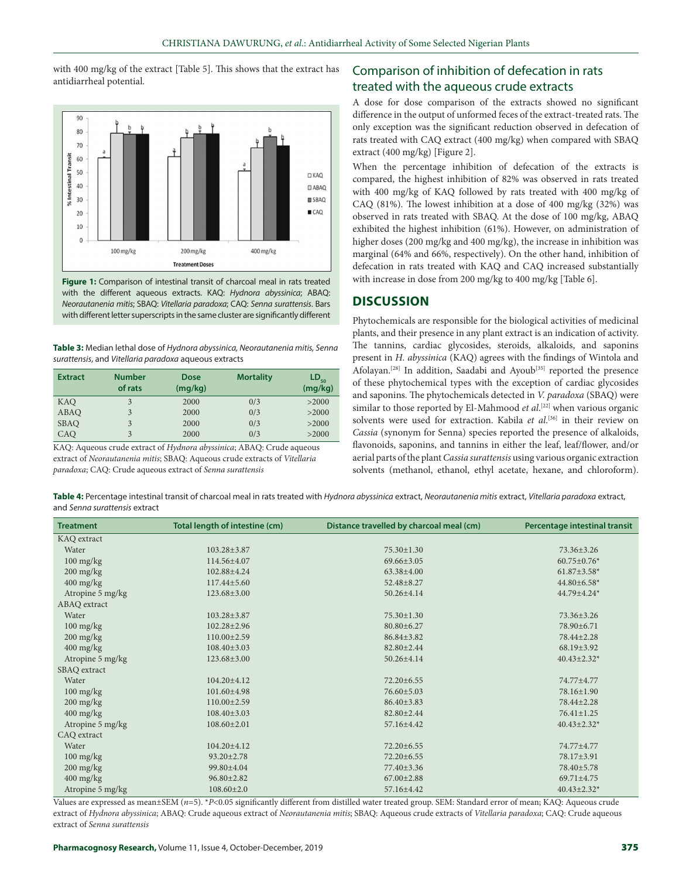with 400 mg/kg of the extract [Table 5]. This shows that the extract has with 400 mg/kg of the extract [Table 5]. This shows that the extract has **Comparison of inhibition of defecation in rats** antidiarrheal potential.



**Figure 1:** Comparison of intestinal transit of charcoal meal in rats treated with the different aqueous extracts. KAQ: *Hydnora abyssinica*; ABAQ: *Neorautanenia mitis*; SBAQ: *Vitellaria paradoxa*; CAQ: *Senna surattensis*. Bars with different letter superscripts in the same cluster are significantly different

**Table 3:** Median lethal dose of *Hydnora abyssinica, Neorautanenia mitis, Senna surattensis*, and *Vitellaria paradoxa* aqueous extracts

| <b>Extract</b> | <b>Number</b><br>of rats | <b>Dose</b><br>(mq/kg) | <b>Mortality</b> | $\mathsf{LD}_{\mathsf{so}}$<br>(mg/kg) |
|----------------|--------------------------|------------------------|------------------|----------------------------------------|
| KAQ            | 3                        | 2000                   | 0/3              | >2000                                  |
| ABAQ           | 3                        | 2000                   | 0/3              | >2000                                  |
| <b>SBAQ</b>    | 3                        | 2000                   | 0/3              | >2000                                  |
| CAO            | 3                        | 2000                   | 0/3              | >2000                                  |

KAQ: Aqueous crude extract of *Hydnora abyssinica*; ABAQ: Crude aqueous extract of *Neorautanenia mitis*; SBAQ: Aqueous crude extracts of *Vitellaria paradoxa*; CAQ: Crude aqueous extract of *Senna surattensis*

# treated with the aqueous crude extracts

A dose for dose comparison of the extracts showed no significant difference in the output of unformed feces of the extract-treated rats. The only exception was the significant reduction observed in defecation of rats treated with CAQ extract (400 mg/kg) when compared with SBAQ extract (400 mg/kg) [Figure 2].

When the percentage inhibition of defecation of the extracts is compared, the highest inhibition of 82% was observed in rats treated with 400 mg/kg of KAQ followed by rats treated with 400 mg/kg of CAQ (81%). The lowest inhibition at a dose of 400 mg/kg (32%) was observed in rats treated with SBAQ. At the dose of 100 mg/kg, ABAQ exhibited the highest inhibition (61%). However, on administration of higher doses (200 mg/kg and 400 mg/kg), the increase in inhibition was marginal (64% and 66%, respectively). On the other hand, inhibition of defecation in rats treated with KAQ and CAQ increased substantially with increase in dose from 200 mg/kg to 400 mg/kg [Table 6].

#### **DISCUSSION**

Phytochemicals are responsible for the biological activities of medicinal plants, and their presence in any plant extract is an indication of activity. The tannins, cardiac glycosides, steroids, alkaloids, and saponins present in *H. abyssinica* (KAQ) agrees with the findings of Wintola and Afolayan.<sup>[28]</sup> In addition, Saadabi and Ayoub<sup>[35]</sup> reported the presence of these phytochemical types with the exception of cardiac glycosides and saponins. The phytochemicals detected in *V. paradoxa* (SBAQ) were similar to those reported by El‑Mahmood *et al*. [22] when various organic solvents were used for extraction. Kabila *et al*. [36] in their review on *Cassia* (synonym for Senna) species reported the presence of alkaloids, flavonoids, saponins, and tannins in either the leaf, leaf/flower, and/or aerial parts of the plant *Cassia surattensis* using various organic extraction solvents (methanol, ethanol, ethyl acetate, hexane, and chloroform).

**Table 4:** Percentage intestinal transit of charcoal meal in rats treated with *Hydnora abyssinica* extract, *Neorautanenia mitis* extract, *Vitellaria paradoxa* extract, and *Senna surattensis* extract

| <b>Treatment</b>                  | Total length of intestine (cm) | Distance travelled by charcoal meal (cm) | Percentage intestinal transit |
|-----------------------------------|--------------------------------|------------------------------------------|-------------------------------|
| KAQ extract                       |                                |                                          |                               |
| Water                             | $103.28 \pm 3.87$              | $75.30 \pm 1.30$                         | 73.36±3.26                    |
| $100$ mg/kg                       | 114.56±4.07                    | $69.66 + 3.05$                           | $60.75 \pm 0.76$ *            |
| $200$ mg/kg                       | 102.88±4.24                    | $63.38 \pm 4.00$                         | $61.87 \pm 3.58$ *            |
| $400$ mg/kg                       | $117.44\pm 5.60$               | $52.48 \pm 8.27$                         | $44.80\pm6.58*$               |
| Atropine 5 mg/kg                  | 123.68±3.00                    | $50.26 \pm 4.14$                         | 44.79±4.24*                   |
| ABAQ extract                      |                                |                                          |                               |
| Water                             | $103.28 \pm 3.87$              | $75.30 \pm 1.30$                         | $73.36 \pm 3.26$              |
| $100 \frac{\text{mg}}{\text{kg}}$ | $102.28 \pm 2.96$              | $80.80 \pm 6.27$                         | 78.90±6.71                    |
| $200$ mg/kg                       | $110.00 \pm 2.59$              | $86.84 \pm 3.82$                         | 78.44±2.28                    |
| $400$ mg/kg                       | $108.40 \pm 3.03$              | $82.80 \pm 2.44$                         | $68.19 \pm 3.92$              |
| Atropine 5 mg/kg                  | 123.68±3.00                    | 50.26±4.14                               | $40.43 \pm 2.32$ *            |
| SBAQ extract                      |                                |                                          |                               |
| Water                             | $104.20 \pm 4.12$              | $72.20 \pm 6.55$                         | 74.77±4.77                    |
| $100$ mg/kg                       | 101.60±4.98                    | $76.60 \pm 5.03$                         | 78.16±1.90                    |
| $200$ mg/kg                       | $110.00 \pm 2.59$              | $86.40 \pm 3.83$                         | 78.44±2.28                    |
| $400$ mg/kg                       | $108.40 \pm 3.03$              | $82.80 \pm 2.44$                         | $76.41 \pm 1.25$              |
| Atropine 5 mg/kg                  | $108.60 \pm 2.01$              | 57.16±4.42                               | $40.43 \pm 2.32$ *            |
| CAQ extract                       |                                |                                          |                               |
| Water                             | $104.20 + 4.12$                | $72.20 \pm 6.55$                         | 74.77±4.77                    |
| $100 \frac{\text{mg}}{\text{kg}}$ | $93.20 \pm 2.78$               | $72.20 \pm 6.55$                         | 78.17±3.91                    |
| $200$ mg/kg                       | 99.80±4.04                     | 77.40±3.36                               | 78.40±5.78                    |
| $400$ mg/kg                       | $96.80 \pm 2.82$               | $67.00 \pm 2.88$                         | 69.71±4.75                    |
| Atropine 5 mg/kg                  | $108.60 \pm 2.0$               | 57.16±4.42                               | $40.43 \pm 2.32$ *            |

Values are expressed as mean±SEM (*n*=5). \**P*<0.05 significantly different from distilled water treated group. SEM: Standard error of mean; KAQ: Aqueous crude extract of *Hydnora abyssinica*; ABAQ: Crude aqueous extract of *Neorautanenia mitis*; SBAQ: Aqueous crude extracts of *Vitellaria paradoxa*; CAQ: Crude aqueous extract of *Senna surattensis*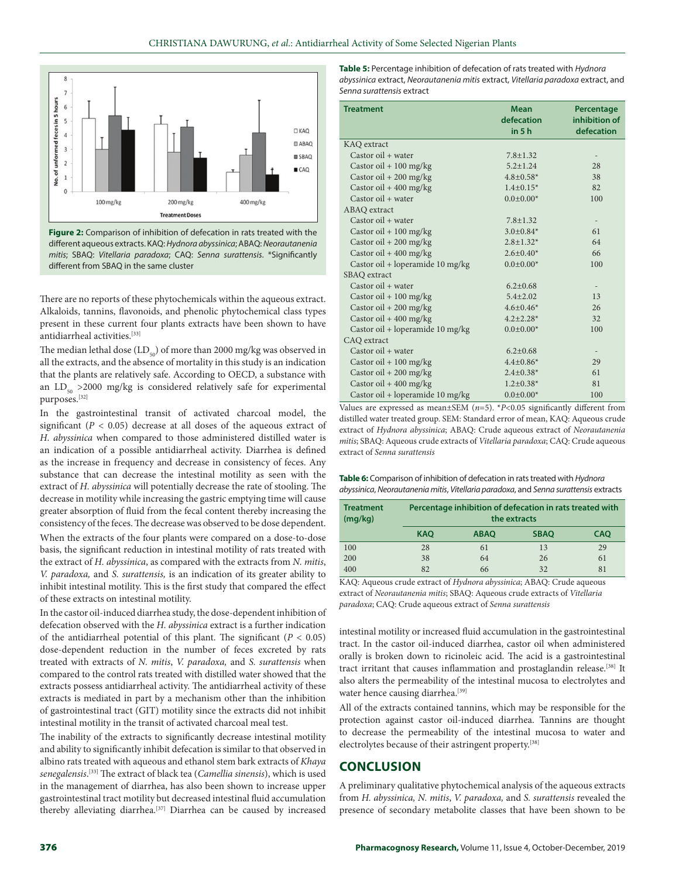

**Figure 2:** Comparison of inhibition of defecation in rats treated with the different aqueous extracts. KAQ: *Hydnora abyssinica*; ABAQ: *Neorautanenia mitis*; SBAQ: *Vitellaria paradoxa*; CAQ: *Senna surattensis*. \*Significantly different from SBAQ in the same cluster

There are no reports of these phytochemicals within the aqueous extract. Alkaloids, tannins, flavonoids, and phenolic phytochemical class types present in these current four plants extracts have been shown to have antidiarrheal activities.[33]

The median lethal dose  $(LD_{50})$  of more than 2000 mg/kg was observed in all the extracts, and the absence of mortality in this study is an indication that the plants are relatively safe. According to OECD, a substance with an  $LD_{50} > 2000$  mg/kg is considered relatively safe for experimental purposes.[32]

In the gastrointestinal transit of activated charcoal model, the significant  $(P < 0.05)$  decrease at all doses of the aqueous extract of *H. abyssinica* when compared to those administered distilled water is an indication of a possible antidiarrheal activity. Diarrhea is defined as the increase in frequency and decrease in consistency of feces. Any substance that can decrease the intestinal motility as seen with the extract of *H. abyssinica* will potentially decrease the rate of stooling. The decrease in motility while increasing the gastric emptying time will cause greater absorption of fluid from the fecal content thereby increasing the consistency of the feces. The decrease was observed to be dose dependent.

When the extracts of the four plants were compared on a dose-to-dose basis, the significant reduction in intestinal motility of rats treated with the extract of *H. abyssinica*, as compared with the extracts from *N. mitis*, *V. paradoxa,* and *S. surattensis,* is an indication of its greater ability to inhibit intestinal motility. This is the first study that compared the effect of these extracts on intestinal motility.

In the castor oil-induced diarrhea study, the dose-dependent inhibition of defecation observed with the *H. abyssinica* extract is a further indication of the antidiarrheal potential of this plant. The significant  $(P < 0.05)$ dose‑dependent reduction in the number of feces excreted by rats treated with extracts of *N. mitis*, *V. paradoxa,* and *S. surattensis* when compared to the control rats treated with distilled water showed that the extracts possess antidiarrheal activity. The antidiarrheal activity of these extracts is mediated in part by a mechanism other than the inhibition of gastrointestinal tract (GIT) motility since the extracts did not inhibit intestinal motility in the transit of activated charcoal meal test.

The inability of the extracts to significantly decrease intestinal motility and ability to significantly inhibit defecation is similar to that observed in albino rats treated with aqueous and ethanol stem bark extracts of *Khaya senegalensis*. [33] The extract of black tea (*Camellia sinensis*), which is used in the management of diarrhea, has also been shown to increase upper gastrointestinal tract motility but decreased intestinal fluid accumulation thereby alleviating diarrhea.[37] Diarrhea can be caused by increased

**Table 5:** Percentage inhibition of defecation of rats treated with *Hydnora abyssinica* extract, *Neorautanenia mitis* extract, *Vitellaria paradoxa* extract, and *Senna surattensis* extract

| <b>Treatment</b>                 | <b>Mean</b>         | Percentage                   |
|----------------------------------|---------------------|------------------------------|
|                                  | defecation<br>in 5h | inhibition of<br>defecation  |
| KAQ extract                      |                     |                              |
| $Castor oil + water$             | $7.8 \pm 1.32$      |                              |
| Castor oil + $100$ mg/kg         | $5.2 \pm 1.24$      | 28                           |
| Castor oil + $200$ mg/kg         | $4.8 \pm 0.58*$     | 38                           |
| Castor oil + $400$ mg/kg         | $1.4 \pm 0.15*$     | 82                           |
| Castor oil + water               | $0.0 \pm 0.00*$     | 100                          |
| ABAQ extract                     |                     |                              |
| $Castor oil + water$             | $7.8 \pm 1.32$      | $\qquad \qquad \blacksquare$ |
| Castor oil + $100$ mg/kg         | $3.0 \pm 0.84*$     | 61                           |
| Castor oil + $200$ mg/kg         | $2.8 \pm 1.32*$     | 64                           |
| Castor oil + $400$ mg/kg         | $2.6 \pm 0.40*$     | 66                           |
| Castor oil + loperamide 10 mg/kg | $0.0 \pm 0.00*$     | 100                          |
| SBAQ extract                     |                     |                              |
| Castor oil $+$ water             | $6.2 \pm 0.68$      | $\overline{\phantom{0}}$     |
| Castor oil $+100$ mg/kg          | $5.4 \pm 2.02$      | 13                           |
| Castor oil + $200$ mg/kg         | $4.6 \pm 0.46*$     | 26                           |
| Castor oil + 400 mg/kg           | $4.2 \pm 2.28*$     | 32                           |
| Castor oil + loperamide 10 mg/kg | $0.0 \pm 0.00*$     | 100                          |
| CAQ extract                      |                     |                              |
| Castor oil + water               | $6.2 \pm 0.68$      |                              |
| Castor oil + $100$ mg/kg         | $4.4 \pm 0.86*$     | 29                           |
| Castor oil + $200$ mg/kg         | $2.4 \pm 0.38*$     | 61                           |
| Castor oil + $400$ mg/kg         | $1.2 \pm 0.38*$     | 81                           |
| Castor oil + loperamide 10 mg/kg | $0.0 \pm 0.00*$     | 100                          |

Values are expressed as mean $\pm$ SEM  $(n=5)$ . *\*P*<0.05 significantly different from distilled water treated group. SEM: Standard error of mean, KAQ: Aqueous crude extract of *Hydnora abyssinica*; ABAQ: Crude aqueous extract of *Neorautanenia mitis*; SBAQ: Aqueous crude extracts of *Vitellaria paradoxa*; CAQ: Crude aqueous extract of *Senna surattensis*

**Table 6:** Comparison of inhibition of defecation in rats treated with *Hydnora abyssinica*, *Neorautanenia mitis*, *Vitellaria paradoxa*, and *Senna surattensis* extracts

| <b>Treatment</b><br>(mq/kg) | Percentage inhibition of defecation in rats treated with<br>the extracts |             |             |            |  |
|-----------------------------|--------------------------------------------------------------------------|-------------|-------------|------------|--|
|                             | <b>KAO</b>                                                               | <b>ABAO</b> | <b>SBAO</b> | <b>CAO</b> |  |
| 100                         | 28                                                                       | 61          | 13          | 29         |  |
| 200                         | 38                                                                       | 64          | 26          | 61         |  |
| 400                         | 82                                                                       | 66          | 32          | 81         |  |

KAQ: Aqueous crude extract of *Hydnora abyssinica*; ABAQ: Crude aqueous extract of *Neorautanenia mitis*; SBAQ: Aqueous crude extracts of *Vitellaria paradoxa*; CAQ: Crude aqueous extract of *Senna surattensis*

intestinal motility or increased fluid accumulation in the gastrointestinal tract. In the castor oil‑induced diarrhea, castor oil when administered orally is broken down to ricinoleic acid. The acid is a gastrointestinal tract irritant that causes inflammation and prostaglandin release.<sup>[38]</sup> It also alters the permeability of the intestinal mucosa to electrolytes and water hence causing diarrhea.<sup>[39]</sup>

All of the extracts contained tannins, which may be responsible for the protection against castor oil‑induced diarrhea. Tannins are thought to decrease the permeability of the intestinal mucosa to water and electrolytes because of their astringent property.<sup>[38]</sup>

#### **CONCLUSION**

A preliminary qualitative phytochemical analysis of the aqueous extracts from *H. abyssinica, N. mitis*, *V. paradoxa,* and *S. surattensis* revealed the presence of secondary metabolite classes that have been shown to be